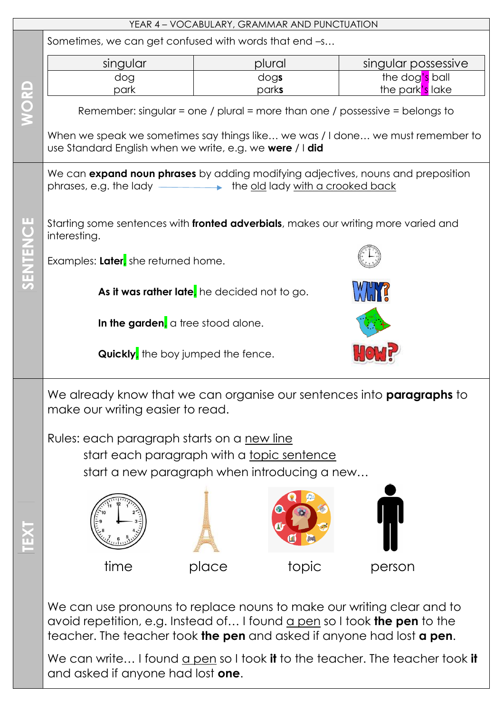|              | YEAR 4 - VOCABULARY, GRAMMAR AND PUNCTUATION                                                                                                                                                                                      |        |       |                     |  |  |
|--------------|-----------------------------------------------------------------------------------------------------------------------------------------------------------------------------------------------------------------------------------|--------|-------|---------------------|--|--|
|              | Sometimes, we can get confused with words that end -s                                                                                                                                                                             |        |       |                     |  |  |
| WORD         | singular                                                                                                                                                                                                                          | plural |       | singular possessive |  |  |
|              | dog                                                                                                                                                                                                                               | dogs   |       | the dog's ball      |  |  |
|              | park                                                                                                                                                                                                                              | parks  |       | the park's lake     |  |  |
|              | Remember: singular = one / plural = more than one / possessive = belongs to                                                                                                                                                       |        |       |                     |  |  |
|              | When we speak we sometimes say things like we was / I done we must remember to<br>use Standard English when we write, e.g. we were / I did                                                                                        |        |       |                     |  |  |
| ш<br>SENTENC | We can expand noun phrases by adding modifying adjectives, nouns and preposition<br>phrases, e.g. the lady _________ the old lady with a crooked back                                                                             |        |       |                     |  |  |
|              | Starting some sentences with fronted adverbials, makes our writing more varied and<br>interesting.                                                                                                                                |        |       |                     |  |  |
|              | Examples: Later, she returned home.                                                                                                                                                                                               |        |       |                     |  |  |
|              | As it was rather late, he decided not to go.                                                                                                                                                                                      |        |       |                     |  |  |
|              | In the garden, a tree stood alone.                                                                                                                                                                                                |        |       |                     |  |  |
|              | <b>Quickly</b> , the boy jumped the fence.                                                                                                                                                                                        |        |       |                     |  |  |
|              | We already know that we can organise our sentences into <b>paragraphs</b> to<br>make our writing easier to read.                                                                                                                  |        |       |                     |  |  |
|              | Rules: each paragraph starts on a new line                                                                                                                                                                                        |        |       |                     |  |  |
|              | start each paragraph with a topic sentence                                                                                                                                                                                        |        |       |                     |  |  |
|              | start a new paragraph when introducing a new                                                                                                                                                                                      |        |       |                     |  |  |
|              |                                                                                                                                                                                                                                   |        |       |                     |  |  |
|              |                                                                                                                                                                                                                                   |        |       |                     |  |  |
|              |                                                                                                                                                                                                                                   |        |       |                     |  |  |
|              |                                                                                                                                                                                                                                   |        |       |                     |  |  |
| EXT          |                                                                                                                                                                                                                                   |        |       |                     |  |  |
|              | time                                                                                                                                                                                                                              | place  | topic | person              |  |  |
|              |                                                                                                                                                                                                                                   |        |       |                     |  |  |
|              | We can use pronouns to replace nouns to make our writing clear and to<br>avoid repetition, e.g. Instead of I found a pen so I took <b>the pen</b> to the<br>teacher. The teacher took the pen and asked if anyone had lost a pen. |        |       |                     |  |  |
|              | We can write I found a pen so I took it to the teacher. The teacher took it                                                                                                                                                       |        |       |                     |  |  |
|              | and asked if anyone had lost one.                                                                                                                                                                                                 |        |       |                     |  |  |